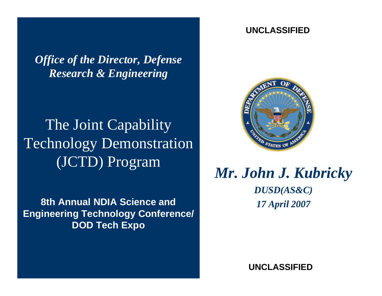*Office of the Director, Defense Research & Engineering* 

## The Joint Capability Technology Demonstration (JCTD) Program

**8th Annual NDIA Science and Engineering Technology Conference/ DOD Tech Expo**

#### **UNCLASSIFIED**



#### *Mr. John J. Kubricky DUSD(AS&C) 17 April 2007*

**UNCLASSIFIED**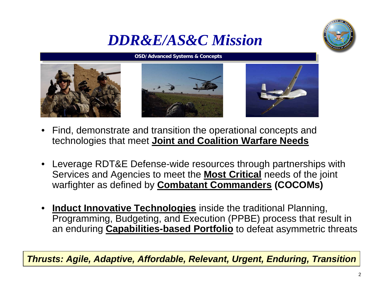#### *DDR&E/AS&C Mission*



#### **OSD/Advanced Systems & Concepts OSD/Advanced Systems & Concepts**







- Find, demonstrate and transition the operational concepts and technologies that meet **Joint and Coalition Warfare Needs**
- Leverage RDT&E Defense-wide resources through partnerships with Services and Agencies to meet the **Most Critical** needs of the joint warfighter as defined by **Combatant Commanders (COCOMs)**
- **Induct Innovative Technologies** inside the traditional Planning, Programming, Budgeting, and Execution (PPBE) process that result in an enduring **Capabilities-based Portfolio** to defeat asymmetric threats

*Thrusts: Agile, Adaptive, Affordable, Relevant, Urgent, Enduring, Transition*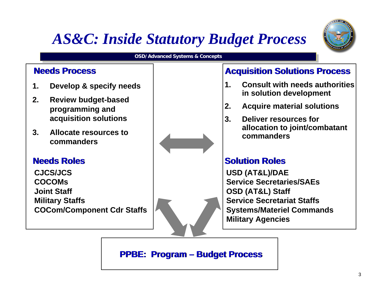### *AS&C: Inside Statutory Budget Process*



#### **OSD/Advanced Systems & Concepts OSD/Advanced Systems & Concepts**

#### **Needs Process**

- **1. Develop & specify needs**
- **2. Review budget-based programming and acquisition solutions**
- **3. Allocate resources to commanders**

#### **Needs Roles**

**CJCS/JCSCOCOMsJoint StaffMilitary Staffs COCom/Component Cdr Staffs**

#### **Acquisition Solutions Process**

- **1. Consult with needs authorities in solution development**
- **2. Acquire material solutions**
- **3. Deliver resources forallocation to joint/combatant commanders**

#### **Solution Roles**

**USD (AT&L)/DAE Service Secretaries/SAEsOSD (AT&L) Staff Service Secretariat Staffs Systems/Materiel Commands Military Agencies**

**PPBE: Program – Budget Process**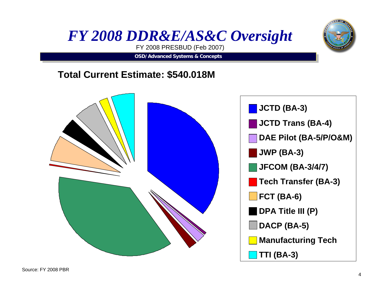



FY 2008 PRESBUD (Feb 2007)

**OSD/Advanced Systems & Concepts OSD/Advanced Systems & Concepts**

#### **Total Current Estimate: \$540.018M**

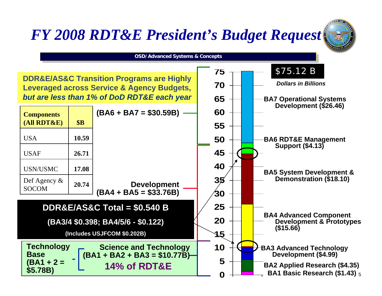### *FY 2008 RDT&E President's Budget Request*



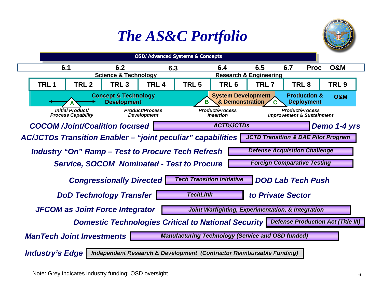### *The AS&C Portfolio*



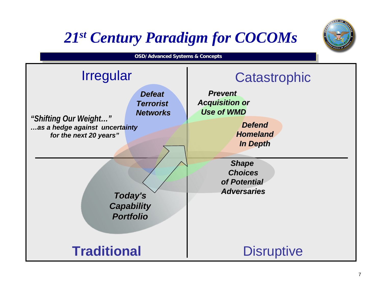### *21st Century Paradigm for COCOMs*

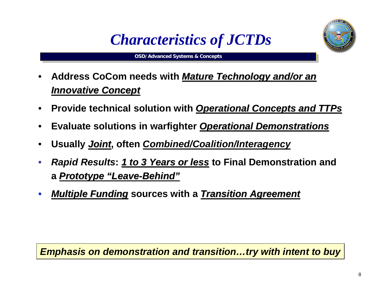

**OSD/Advanced Systems & Concepts OSD/Advanced Systems & Concepts**



- **Address CoCom needs with** *MatureTechnology and/or an Technology and/or an Innovative Concept Innovative Concept*
- **Provide technical solution with Operational Concepts and TTPs**
- **Evaluate solutions in warfighter** *Operational Demonstrations*
- **Usually** *Joint***, often** *Combined/Coalition/Interagency*
- *Rapid Results*: <u>1 to 3 Years or less</u> to Final Demonstration and **a** Prototype "Leave-Behind"
- **•** *Multiple Funding* sources with a *Transition Agreement*

*Emphasis on demonstration and transition…try with intent to buy*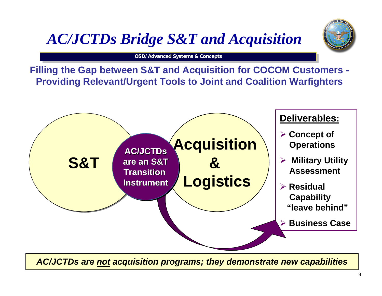### *AC/JCTDs Bridge S&T and Acquisition*

**OSD/Advanced Systems & Concepts OSD/Advanced Systems & Concepts**

**Filling the Gap between S&T and Acquisition for COCOM Customers - Providing Relevant/Urgent Tools to Joint and Coalition Warfighters**



*AC/JCTDs are not acquisition programs; they demonstrate new capabilities*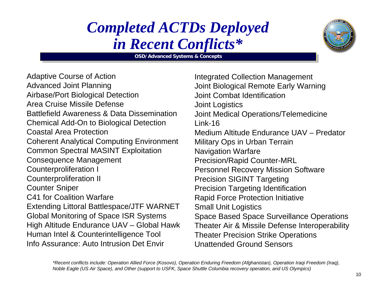### *Completed ACTDs Deployed in Recent Conflicts\**

**OSD/Advanced Systems & Concepts OSD/Advanced Systems & Concepts**

Adaptive Course of Action Advanced Joint Planning Airbase/Port Biological Detection Area Cruise Missile Defense Battlefield Awareness & Data DisseminationChemical Add-On to Biological Detection Coastal Area Protection Coherent Analytical Computing Environment Common Spectral MASINT Exploitation Consequence Management Counterproliferation I Counterproliferation II Counter Sniper C41 for Coalition WarfareExtending Littoral Battlespace/JTF WARNET Global Monitoring of Space ISR Systems High Altitude Endurance UAV – Global Hawk Human Intel & Counterintelligence Tool Info Assurance: Auto Intrusion Det Envir

Integrated Collection Management Joint Biological Remote Early Warning Joint Combat Identification Joint Logistics Joint Medical Operations/Telemedicine Link-16Medium Altitude Endurance UAV – PredatorMilitary Ops in Urban Terrain Navigation Warfare Precision/Rapid Counter-MRL Personnel Recovery Mission Software Precision SIGINT Targeting Precision Targeting Identification Rapid Force Protection Initiative Small Unit Logistics Space Based Space Surveillance Operations Theater Air & Missile Defense Interoperability Theater Precision Strike Operations Unattended Ground Sensors

*\*Recent conflicts include: Operation Allied Force (Kosovo), Operation Enduring Freedom (Afghanistan), Operation Iraqi Freedom (Iraq), Noble Eagle (US Air Space), and Other (support to USFK, Space Shuttle Columbia recovery operation, and US Olympics)*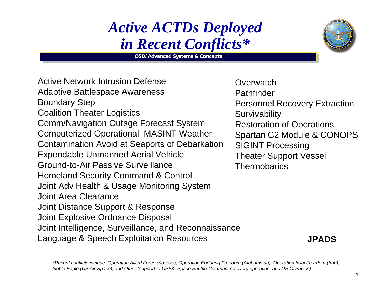#### *Active ACTDs Deployed in Recent Conflicts\**

**OSD/Advanced Systems & Concepts OSD/Advanced Systems & Concepts**



Active Network Intrusion DefenseAdaptive Battlespace Awareness Boundary Step Coalition Theater Logistics Comm/Navigation Outage Forecast System Computerized Operational MASINT Weather Contamination Avoid at Seaports of Debarkation Expendable Unmanned Aerial Vehicle Ground-to-Air Passive SurveillanceHomeland Security Command & Control Joint Adv Health & Usage Monitoring System Joint Area ClearanceJoint Distance Support & Response Joint Explosive Ordnance Disposal Joint Intelligence, Surveillance, and Reconnaissance Language & Speech Exploitation Resources

**Overwatch Pathfinder** Personnel Recovery Extraction **Survivability** Restoration of Operations Spartan C2 Module & CONOPS SIGINT Processing Theater Support Vessel **Thermobarics** 

**JPADS**

*\*Recent conflicts include: Operation Allied Force (Kosovo), Operation Enduring Freedom (Afghanistan), Operation Iraqi Freedom (Iraq), Noble Eagle (US Air Space), and Other (support to USFK, Space Shuttle Columbia recovery operation, and US Olympics)*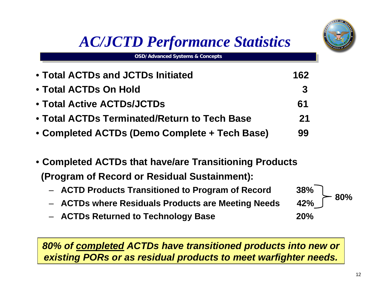### *AC/JCTD Performance Statistics*

• **Total ACTDs and JCTDs Initiated 162**• **Total ACTDs On Hold 3**• **Total Active ACTDs/JCTDs 61**

**OSD/Advanced Systems & Concepts OSD/Advanced Systems & Concepts**

- **Total ACTDs Terminated/Return to Tech Base 21**
- **Completed ACTDs (Demo Complete + Tech Base) 99**
- **Completed ACTDs that have/are Transitioning Products (Program of Record or Residual Sustainment):** 
	- **ACTD Products Transitioned to Program of Record 38%**
	- **ACTDs where Residuals Products are Meeting Needs 42%**
	- **ACTDs Returned to Technology Base 20%**

*80% of completed ACTDs have transitioned products into new or existing PORs or as residual products to meet warfighter needs.*



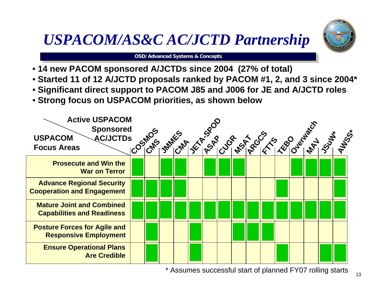## *USPACOM/AS&C AC/JCTD Partnership*



**OSD/Advanced Systems & Concepts OSD/Advanced Systems & Concepts**

- **14 new PACOM sponsored A/JCTDs since 2004 (27% of total)**
- **Started 11 of 12 A/JCTD proposals ranked by PACOM #1, 2, and 3 since 2004\***
- **Significant direct support to PACOM J85 and J006 for JE and A/JCTD roles**
- **Strong focus on USPACOM priorities, as shown below**



\* Assumes successful start of planned FY07 rolling starts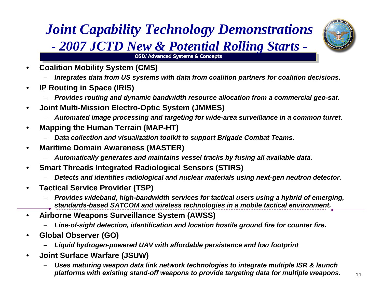#### *Joint Capability Technology Demonstrations - 2007 JCTD New & Potential Rolling Starts -*



**OSD/Advanced Systems & Concepts OSD/Advanced Systems & Concepts**

- **Coalition Mobility System (CMS)**
	- *Integrates data from US systems with data from coalition partners for coalition decisions.*
- **IP Routing in Space (IRIS)**
	- *Provides routing and dynamic bandwidth resource allocation from a commercial geo-sat.*
- **Joint Multi-Mission Electro-Optic System (JMMES)**
	- *Automated image processing and targeting for wide-area surveillance in a common turret.*
- **Mapping the Human Terrain (MAP-HT)**
	- *Data collection and visualization toolkit to support Brigade Combat Teams.*
- **Maritime Domain Awareness (MASTER)**
	- *Automatically generates and maintains vessel tracks by fusing all available data.*
- **Smart Threads Integrated Radiological Sensors (STIRS)**
	- *Detects and identifies radiological and nuclear materials using next-gen neutron detector.*
- **Tactical Service Provider (TSP)**
	- *Provides wideband, high-bandwidth services for tactical users using a hybrid of emerging, standards-based SATCOM and wireless technologies in a mobile tactical environment.*
- **Airborne Weapons Surveillance System (AWSS)** 
	- *Line-of-sight detection, identification and location hostile ground fire for counter fire.*
- **Global Observer (GO)**
	- *Liquid hydrogen-powered UAV with affordable persistence and low footprint*
- **Joint Surface Warfare (JSUW)**
	- *Uses maturing weapon data link network technologies to integrate multiple ISR & launch platforms with existing stand-off weapons to provide targeting data for multiple weapons.*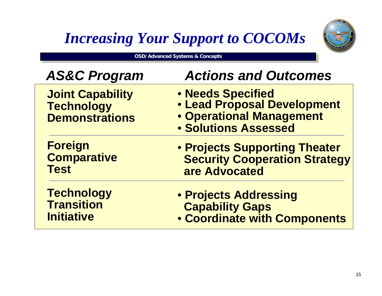## *Increasing Your Support to COCOMs*



**OSD/Advanced Systems & Concepts** 

| <b>AS&amp;C Program</b>                                               | <b>Actions and Outcomes</b>                                                                                        |
|-----------------------------------------------------------------------|--------------------------------------------------------------------------------------------------------------------|
| <b>Joint Capability</b><br><b>Technology</b><br><b>Demonstrations</b> | • Needs Specified<br><b>. Lead Proposal Development</b><br>• Operational Management<br><b>• Solutions Assessed</b> |
| <b>Foreign</b>                                                        | • Projects Supporting Theater                                                                                      |
| <b>Comparative</b>                                                    | <b>Security Cooperation Strategy</b>                                                                               |
| <b>Test</b>                                                           | are Advocated                                                                                                      |
| <b>Technology</b>                                                     | • Projects Addressing                                                                                              |
| <b>Transition</b>                                                     | <b>Capability Gaps</b>                                                                                             |
| <b>Initiative</b>                                                     | <b>• Coordinate with Components</b>                                                                                |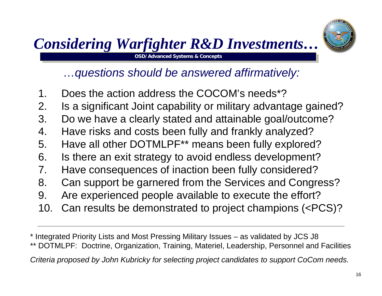#### **OSD/Advanced Systems & Concepts OSD/Advanced Systems & Concepts** *Considering Warfighter R&D Investments…*



*…questions should be answered affirmatively:*

- 1. Does the action address the COCOM's needs\*?
- 2. Is a significant Joint capability or military advantage gained?
- 3. Do we have a clearly stated and attainable goal/outcome?
- 4. Have risks and costs been fully and frankly analyzed?
- 5. Have all other DOTMLPF\*\* means been fully explored?
- 6. Is there an exit strategy to avoid endless development?
- 7. Have consequences of inaction been fully considered?
- 8. Can support be garnered from the Services and Congress?
- 9. Are experienced people available to execute the effort?
- 10. Can results be demonstrated to project champions (<PCS)?

\* Integrated Priority Lists and Most Pressing Military Issues – as validated by JCS J8 \*\* DOTMLPF: Doctrine, Organization, Training, Materiel, Leadership, Personnel and Facilities *Criteria proposed by John Kubricky for selecting project candidates to support CoCom needs.*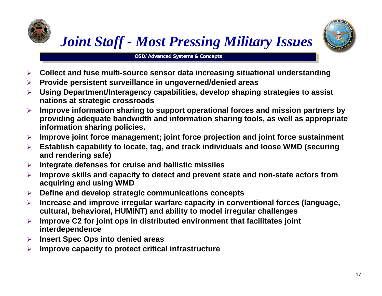# *Joint Staff - Most Pressing Military Issues*



**OSD/Advanced Systems & Concepts OSD/Advanced Systems & Concepts**

- $\blacktriangleright$ **Collect and fuse multi-source sensor data increasing situational understanding**
- $\blacktriangleright$ **Provide persistent surveillance in ungoverned/denied areas**
- $\blacktriangleright$  **Using Department/Interagency capabilities, develop shaping strategies to assist nations at strategic crossroads**
- $\blacktriangleright$  **Improve information sharing to support operational forces and mission partners by providing adequate bandwidth and information sharing tools, as well as appropriate information sharing policies.**
- $\blacktriangleright$ **Improve joint force management; joint force projection and joint force sustainment**
- $\blacktriangleright$  **Establish capability to locate, tag, and track individuals and loose WMD (securing and rendering safe)**
- $\blacktriangleright$ **Integrate defenses for cruise and ballistic missiles**
- $\blacktriangleright$  **Improve skills and capacity to detect and prevent state and non-state actors from acquiring and using WMD**
- $\blacktriangleright$ **Define and develop strategic communications concepts**
- $\blacktriangleright$  **Increase and improve irregular warfare capacity in conventional forces (language, cultural, behavioral, HUMINT) and ability to model irregular challenges**
- $\blacktriangleright$  **Improve C2 for joint ops in distributed environment that facilitates joint interdependence**
- $\blacktriangleright$ **Insert Spec Ops into denied areas**
- $\blacktriangleright$ **Improve capacity to protect critical infrastructure**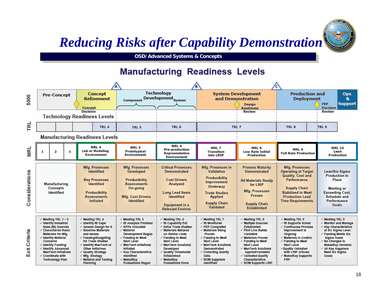#### *Reducing Risks after Capability Demonstration*



**OSD/Advanced Systems & Concepts OSD/Advanced Systems & Concepts**

#### **Manufacturing Readiness Levels**

|                  |                                                                                                                                                                                             |                                                                                          |   |                                                                                                                                                                                                                                                                                          |                                                                                                                                                                                                                                                                   | P)<br>'C                                                                                                                                                                                                                                                             |                                                                                                                                                                                                                                       |                                                                                                                                                                                                                                                              |                                                                                                                                                                                                                                           |                   |                                                                                                                                                                                                                               |                                    |  |
|------------------|---------------------------------------------------------------------------------------------------------------------------------------------------------------------------------------------|------------------------------------------------------------------------------------------|---|------------------------------------------------------------------------------------------------------------------------------------------------------------------------------------------------------------------------------------------------------------------------------------------|-------------------------------------------------------------------------------------------------------------------------------------------------------------------------------------------------------------------------------------------------------------------|----------------------------------------------------------------------------------------------------------------------------------------------------------------------------------------------------------------------------------------------------------------------|---------------------------------------------------------------------------------------------------------------------------------------------------------------------------------------------------------------------------------------|--------------------------------------------------------------------------------------------------------------------------------------------------------------------------------------------------------------------------------------------------------------|-------------------------------------------------------------------------------------------------------------------------------------------------------------------------------------------------------------------------------------------|-------------------|-------------------------------------------------------------------------------------------------------------------------------------------------------------------------------------------------------------------------------|------------------------------------|--|
| 5000             |                                                                                                                                                                                             | <b>Pre-Concept</b>                                                                       |   | <b>Concept</b><br><b>Refinement</b><br>Concept                                                                                                                                                                                                                                           | Component                                                                                                                                                                                                                                                         | <b>Technology</b><br>Development <sub>System</sub>                                                                                                                                                                                                                   |                                                                                                                                                                                                                                       | <b>System Development</b><br>and Demonstration<br><b>Design</b><br><b>Readiness</b>                                                                                                                                                                          | <b>Production and</b>                                                                                                                                                                                                                     | <b>Deployment</b> | <b>FRP</b><br><b>Decision</b>                                                                                                                                                                                                 | <b>Ops</b><br>8.<br><b>Support</b> |  |
|                  |                                                                                                                                                                                             |                                                                                          |   | <b>Decision</b><br><b>Technology Readiness Levels</b>                                                                                                                                                                                                                                    |                                                                                                                                                                                                                                                                   |                                                                                                                                                                                                                                                                      |                                                                                                                                                                                                                                       | Review                                                                                                                                                                                                                                                       |                                                                                                                                                                                                                                           |                   | Review                                                                                                                                                                                                                        |                                    |  |
| ᅞ                |                                                                                                                                                                                             |                                                                                          |   | TRL <sub>4</sub>                                                                                                                                                                                                                                                                         | TRL 5                                                                                                                                                                                                                                                             | TRL 6                                                                                                                                                                                                                                                                | TRL 7                                                                                                                                                                                                                                 |                                                                                                                                                                                                                                                              | TRL <sub>8</sub>                                                                                                                                                                                                                          |                   | TRL 9                                                                                                                                                                                                                         |                                    |  |
|                  |                                                                                                                                                                                             |                                                                                          |   | <b>Manufacturing Readiness Levels</b>                                                                                                                                                                                                                                                    |                                                                                                                                                                                                                                                                   |                                                                                                                                                                                                                                                                      |                                                                                                                                                                                                                                       |                                                                                                                                                                                                                                                              |                                                                                                                                                                                                                                           |                   |                                                                                                                                                                                                                               |                                    |  |
| <b>MRL</b>       | 1                                                                                                                                                                                           | $\overline{\mathbf{z}}$                                                                  | 3 | MRL 4<br><b>Lab or Modeling</b><br>Environment                                                                                                                                                                                                                                           | MRL 5<br>Prototypical<br>Environment                                                                                                                                                                                                                              | MRL 6<br><b>Pre-production</b><br>Representative<br>Environment                                                                                                                                                                                                      | MRL 7<br><b>Transition</b><br>into LRIP                                                                                                                                                                                               | MRL <sub>8</sub><br><b>Low Rate Initial</b><br>Production                                                                                                                                                                                                    | MRL 9<br><b>Full Rate Production</b>                                                                                                                                                                                                      |                   | <b>MRL 10</b><br>Lean<br>Production                                                                                                                                                                                           |                                    |  |
| Considerations   |                                                                                                                                                                                             | Manufacturing<br>Concepts<br><b>Identified</b>                                           |   | Mfg. Processes<br><b>Identified</b><br><b>Key Processes</b><br><b>Identified</b><br>Producibility<br><b>Assessments</b><br><b>Initiated</b>                                                                                                                                              | Mfg. Processes<br><b>Developed</b><br>Producibility<br><b>Assessments</b><br>On-going<br><b>Mfg. Cost Drivers</b><br><b>Identified</b>                                                                                                                            | <b>Critical Processes</b><br><b>Demonstrated</b><br><b>Cost Drivers</b><br>Analyzed<br><b>Long Lead Items</b><br><b>Identified</b><br>Equipment in a<br><b>Relevant Environ</b>                                                                                      | Mfg. Processes in<br>Validation<br>Producibility<br>Improvement<br><b>Underway</b><br><b>Trade Studies</b><br><b>Applied</b><br><b>Supply Chain</b><br>Validated                                                                      | <b>Process Maturity</b><br><b>Demonstrated</b><br><b>All Materials Ready</b><br>for LRIP<br>Mfg. Processes<br>Proven<br><b>Supply Chain</b><br><b>Established</b>                                                                                            | Mfa. Processes<br><b>Operating at Target</b><br>Quality, Cost and<br>Performance<br><b>Supply Chain</b><br><b>Stabilized to Meet</b><br><b>Production Lead</b><br><b>Time Requirements</b>                                                |                   | Lean/Six Sigma<br>Production in<br>Place<br><b>Meeting or</b><br><b>Exceeding Cost</b> ,<br>Schedule and<br>Performance<br>Goals                                                                                              |                                    |  |
| Criteria<br>Exit | $\checkmark$ Meeting TRL 1 - 3<br>/ Identify Industrial<br>√ Characterize Basic<br>√ Identify Material<br><b>Concerns</b><br>√ Identify Funding<br>/ Identify Advanced<br>√ Coordinate with | Base (IB) Sources<br>Materials for Mfg.<br>ManTech Initiatives<br><b>Technology Plan</b> |   | √ Meeting TRL 4<br>√ Identify IB Gaps<br>√ Assess Design for X<br>✓ Baseline Materials<br>and Issues<br>√ Funding/Budgeting<br>for Trade Studies<br>√ Identify ManTech or<br>Other Initiatives<br>✓ Quality Strategy<br>$\checkmark$ Mfg. Strategy<br>√ Material and Tooling<br>Planning | / Meeting TRL 5<br>√ IB Analysis Finished<br>√ KPPs Allocated<br>√ Material<br><b>Development Begun</b><br>✓ Funding to Meet<br>Next Level<br>/ ManTech Initiatives<br>Initiated<br>✓ Key Characteristics<br>ldentified<br>√ Make/Buy<br><b>Evaluations Begun</b> | √ Meeting TRL 6<br>√ IB Capability Est.<br>/ Initial Trade Studies<br>√ Materials Matured<br>on Similar Lines<br>√ Funding to Meet<br>Next Level<br>√ ManTech Solutions<br>Developed<br>√ Quality Thresholds<br>Established<br>√ Make/Buy<br><b>Evaluations Done</b> | √ Meeting TRL 7<br>√ IB Monitored<br>√ PEP Completed<br>√ Materials Being<br>Proven<br>✓ Funding to Meet<br>Next Level<br>/ ManTech Solutions<br>Demonstrated<br>✓ Collecting Quality<br>Data<br>√ BOM Suppliers<br><b>Identified</b> | √ Meeting TRL 8<br>√ Multiple Sources<br>Established<br>√ Pilot Line Bullds<br>Validated<br>√ Materials Proven<br>✓ Funding to Meet<br>Next Level<br>√ ManTech Solutions<br>Applied/Validated<br>√ Validated Quality<br>Characterístics<br>BOM Supports LRIP | √ Meeting TRL 9<br>/ IB Supports Sched<br>√ Continuous Process<br>Improvement is<br>Ongoing<br>√ Materials in Control<br>✓ Funding to Meet<br>Next Level<br>√Quality Validated<br>with LRIP Articles<br>√ Make/Buy Supports<br><b>FRP</b> |                   | / Meeting TRL 9<br>√ Monitor and Manage<br>√ Key Characteristics<br>at Six Sigma Level<br>✓ Funding Meets Six<br>Sigma Goals<br>√ No Changes to<br><b>Make/Buy Decision</b><br>/ All Key Suppliers<br>Meet Six Sigma<br>Goals |                                    |  |